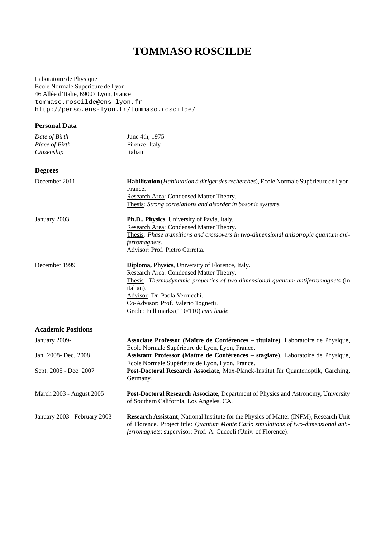# **TOMMASO ROSCILDE**

Laboratoire de Physique Ecole Normale Supérieure de Lyon 46 Allée d'Italie, 69007 Lyon, France tommaso.roscilde@ens-lyon.fr http://perso.ens-lyon.fr/tommaso.roscilde/

| <b>Personal Data</b>                           |                                                                                                                                                                                                                                                                                                                |
|------------------------------------------------|----------------------------------------------------------------------------------------------------------------------------------------------------------------------------------------------------------------------------------------------------------------------------------------------------------------|
| Date of Birth<br>Place of Birth<br>Citizenship | June 4th, 1975<br>Firenze, Italy<br>Italian                                                                                                                                                                                                                                                                    |
| <b>Degrees</b>                                 |                                                                                                                                                                                                                                                                                                                |
| December 2011                                  | Habilitation (Habilitation à diriger des recherches), Ecole Normale Supérieure de Lyon,<br>France.<br>Research Area: Condensed Matter Theory.<br>Thesis: Strong correlations and disorder in bosonic systems.                                                                                                  |
| January 2003                                   | Ph.D., Physics, University of Pavia, Italy.                                                                                                                                                                                                                                                                    |
|                                                | Research Area: Condensed Matter Theory.<br>Thesis: Phase transitions and crossovers in two-dimensional anisotropic quantum ani-<br>ferromagnets.<br>Advisor: Prof. Pietro Carretta.                                                                                                                            |
| December 1999                                  | Diploma, Physics, University of Florence, Italy.<br>Research Area: Condensed Matter Theory.<br>Thesis: Thermodynamic properties of two-dimensional quantum antiferromagnets (in<br>italian).<br>Advisor: Dr. Paola Verrucchi.<br>Co-Advisor: Prof. Valerio Tognetti.<br>Grade: Full marks (110/110) cum laude. |
| <b>Academic Positions</b>                      |                                                                                                                                                                                                                                                                                                                |
| January 2009-                                  | Associate Professor (Maître de Conférences - titulaire), Laboratoire de Physique,<br>Ecole Normale Supérieure de Lyon, Lyon, France.                                                                                                                                                                           |
| Jan. 2008- Dec. 2008                           | Assistant Professor (Maître de Conférences - stagiare), Laboratoire de Physique,<br>Ecole Normale Supérieure de Lyon, Lyon, France.                                                                                                                                                                            |
| Sept. 2005 - Dec. 2007                         | Post-Doctoral Research Associate, Max-Planck-Institut für Quantenoptik, Garching,<br>Germany.                                                                                                                                                                                                                  |
| March 2003 - August 2005                       | Post-Doctoral Research Associate, Department of Physics and Astronomy, University<br>of Southern California, Los Angeles, CA.                                                                                                                                                                                  |
| January 2003 - February 2003                   | Research Assistant, National Institute for the Physics of Matter (INFM), Research Unit<br>of Florence. Project title: Quantum Monte Carlo simulations of two-dimensional anti-<br>ferromagnets; supervisor: Prof. A. Cuccoli (Univ. of Florence).                                                              |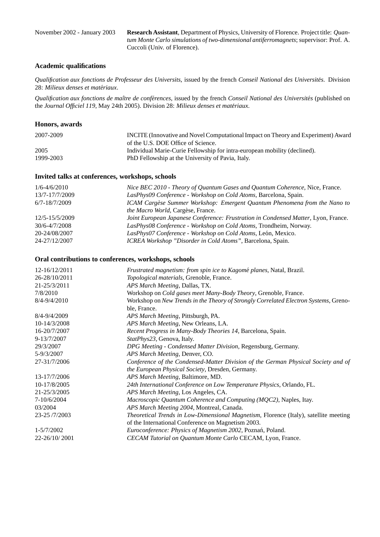November 2002 - January 2003 **Research Assistant**, Department of Physics, University of Florence. Project title: *Quantum Monte Carlo simulations of two-dimensional antiferromagnets*; supervisor: Prof. A. Cuccoli (Univ. of Florence).

#### **Academic qualifications**

*Qualification aux fonctions de Professeur des Universits*, issued by the french *Conseil National des Universites´* . Division 28: Milieux denses et matériaux.

*Qualification aux fonctions de maˆıtre de conferences ´* , issued by the french *Conseil National des Universites´* (published on the *Journal Officiel 119*, May 24th 2005). Division 28: *Milieux denses et materiaux ´* .

| INCITE (Innovative and Novel Computational Impact on Theory and Experiment) Award |
|-----------------------------------------------------------------------------------|
| of the U.S. DOE Office of Science.                                                |
| Individual Marie-Curie Fellowship for intra-european mobility (declined).         |
| PhD Fellowship at the University of Pavia, Italy.                                 |
|                                                                                   |

#### **Invited talks at conferences, workshops, schools**

| $1/6 - 4/6/2010$ | Nice BEC 2010 - Theory of Quantum Gases and Quantum Coherence, Nice, France.       |
|------------------|------------------------------------------------------------------------------------|
| 13/7-17/7/2009   | LasPhys09 Conference - Workshop on Cold Atoms, Barcelona, Spain.                   |
| 6/7-18/7/2009    | ICAM Cargèse Summer Workshop: Emergent Quantum Phenomena from the Nano to          |
|                  | <i>the Macro World</i> , Cargèse, France.                                          |
| 12/5-15/5/2009   | Joint European Japanese Conference: Frustration in Condensed Matter, Lyon, France. |
| 30/6-4/7/2008    | LasPhys08 Conference - Workshop on Cold Atoms, Trondheim, Norway.                  |
| 20-24/08/2007    | LasPhys07 Conference - Workshop on Cold Atoms, León, Mexico.                       |
| 24-27/12/2007    | ICREA Workshop "Disorder in Cold Atoms", Barcelona, Spain.                         |

#### **Oral contributions to conferences, workshops, schools**

| 12-16/12/2011 | Frustrated magnetism: from spin ice to Kagomé planes, Natal, Brazil.                 |
|---------------|--------------------------------------------------------------------------------------|
| 26-28/10/2011 | Topological materials, Grenoble, France.                                             |
| 21-25/3/2011  | APS March Meeting, Dallas, TX.                                                       |
| 7/8/2010      | Workshop on Cold gases meet Many-Body Theory, Grenoble, France.                      |
| 8/4-9/4/2010  | Workshop on New Trends in the Theory of Strongly Correlated Electron Systems, Greno- |
|               | ble, France.                                                                         |
| 8/4-9/4/2009  | APS March Meeting, Pittsburgh, PA.                                                   |
| 10-14/3/2008  | APS March Meeting, New Orleans, LA.                                                  |
| 16-20/7/2007  | Recent Progress in Many-Body Theories 14, Barcelona, Spain.                          |
| 9-13/7/2007   | <i>StatPhys23</i> , Genova, Italy.                                                   |
| 29/3/2007     | DPG Meeting - Condensed Matter Division, Regensburg, Germany.                        |
| 5-9/3/2007    | APS March Meeting, Denver, CO.                                                       |
| 27-31/7/2006  | Conference of the Condensed-Matter Division of the German Physical Society and of    |
|               | the European Physical Society, Dresden, Germany.                                     |
| 13-17/7/2006  | APS March Meeting, Baltimore, MD.                                                    |
| 10-17/8/2005  | 24th International Conference on Low Temperature Physics, Orlando, FL.               |
| 21-25/3/2005  | APS March Meeting, Los Angeles, CA.                                                  |
| 7-10/6/2004   | Macroscopic Quantum Coherence and Computing (MQC2), Naples, Itay.                    |
| 03/2004       | APS March Meeting 2004, Montreal, Canada.                                            |
| 23-25/7/2003  | Theoretical Trends in Low-Dimensional Magnetism, Florence (Italy), satellite meeting |
|               | of the International Conference on Magnetism 2003.                                   |
| 1-5/7/2002    | Euroconference: Physics of Magnetism 2002, Poznań, Poland.                           |
| 22-26/10/2001 | CECAM Tutorial on Quantum Monte Carlo CECAM, Lyon, France.                           |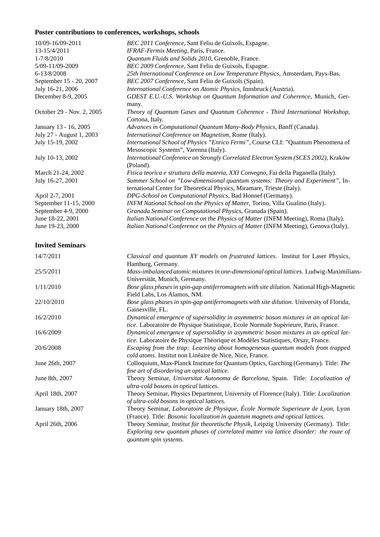# **Poster contributions to conferences, workshops, schools**

| 10/09-16/09-2011          | BEC 2011 Conference, Sant Feliu de Guixols, Espagne.                                                                                                     |
|---------------------------|----------------------------------------------------------------------------------------------------------------------------------------------------------|
| 13-15/4/2011              | IFRAF-Fermix Meeting, Paris, France.                                                                                                                     |
| 1-7/8/2010                | Quantum Fluids and Solids 2010, Grenoble, France.                                                                                                        |
| 5/09-11/09-2009           | BEC 2009 Conference, Sant Feliu de Guixols, Espagne.                                                                                                     |
| 6-13/8/2008               | 25th International Conference on Low Temperature Physics, Amsterdam, Pays-Bas.                                                                           |
| September 15 - 20, 2007   | BEC 2007 Conference, Sant Feliu de Guixols (Spain).                                                                                                      |
| July 16-21, 2006          | International Conference on Atomic Physics, Innsbruck (Austria).                                                                                         |
| December 8-9, 2005        | GDEST E.U.-U.S. Workshop on Quantum Information and Coherence, Munich, Ger-<br>many.                                                                     |
| October 29 - Nov. 2, 2005 | Theory of Quantum Gases and Quantum Coherence - Third International Workshop,<br>Cortona, Italy.                                                         |
| January 13 - 16, 2005     | Advances in Computational Quantum Many-Body Physics, Banff (Canada).                                                                                     |
| July 27 - August 1, 2003  | International Conference on Magnetism, Rome (Italy).                                                                                                     |
| July 15-19, 2002          | International School of Physics "Enrico Fermi", Course CLI: "Quantum Phenomena of<br>Mesoscopic Systems", Varenna (Italy).                               |
| July 10-13, 2002          | International Conference on Strongly Correlated Electron System (SCES 2002), Kraków<br>(Poland).                                                         |
| March 21-24, 2002         | Fisica teorica e struttura della materia, XXI Convegno, Fai della Paganella (Italy).                                                                     |
| July 16-27, 2001          | Summer School on "Low-dimensional quantum systems: Theory and Experiment", In-<br>ternational Center for Theoretical Physics, Miramare, Trieste (Italy). |
| April 2-7, 2001           | DPG-School on Computational Physics, Bad Honnef (Germany).                                                                                               |
| September 11-15, 2000     | INFM National School on the Physics of Matter, Torino, Villa Gualino (Italy).                                                                            |
| September 4-9, 2000       | Granada Seminar on Computational Physics, Granada (Spain).                                                                                               |
| June 18-22, 2001          | Italian National Conference on the Physics of Matter (INFM Meeting), Roma (Italy).                                                                       |
| June 19-23, 2000          | Italian National Conference on the Physics of Matter (INFM Meeting), Genova (Italy).                                                                     |

### **Invited Seminars**

| 14/7/2011          | Classical and quantum XY models on frustrated lattices. Institut for Laser Physics,            |
|--------------------|------------------------------------------------------------------------------------------------|
|                    | Hamburg, Germany.                                                                              |
| 25/5/2011          | Mass-imbalanced atomic mixtures in one-dimensional optical lattices. Ludwig-Maximilians-       |
|                    | Universität, Munich, Germany.                                                                  |
| 1/11/2010          | Bose glass phases in spin-gap antiferromagnets with site dilution. National High-Magnetic      |
|                    | Field Labs, Los Alamos, NM.                                                                    |
| 22/10/2010         | Bose glass phases in spin-gap antiferromagnets with site dilution. University of Florida,      |
|                    | Gainesville, FL.                                                                               |
| 16/2/2010          | Dynamical emergence of supersolidity in asymmetric boson mixtures in an optical lat-           |
|                    | tice. Laboratoire de Physique Statistique, Ecole Normale Supérieure, Paris, France.            |
| 16/6/2009          | Dynamical emergence of supersolidity in asymmetric boson mixtures in an optical lat-           |
|                    | tice. Laboratoire de Physique Théorique et Modèles Statistiques, Orsay, France.                |
| 20/6/2008          | Escaping from the trap: Learning about homogeneous quantum models from trapped                 |
|                    | cold atoms. Institut non Linéaire de Nice, Nice, France.                                       |
| June 26th, 2007    | Colloquium, Max-Planck Institute for Quantum Optics, Garching (Germany). Title: The            |
|                    | fine art of disordering an optical lattice.                                                    |
| June 8th, 2007     | Theory Seminar, Universitat Autonoma de Barcelona, Spain. Title: Localization of               |
|                    | ultra-cold bosons in optical lattices.                                                         |
| April 18th, 2007   | Theory Seminar, Physics Department, University of Florence (Italy). Title: Localization        |
|                    | of ultra-cold bosons in optical lattices.                                                      |
| January 18th, 2007 | Theory Seminar, Laboratoire de Physique, École Normale Superieure de Lyon, Lyon                |
|                    | (France). Title: Bosonic localization in quantum magnets and optical lattices.                 |
| April 26th, 2006   | Theory Seminar, <i>Institut für theoretische Physik</i> , Leipzig University (Germany). Title: |
|                    | Exploring new quantum phases of correlated matter via lattice disorder: the route of           |
|                    | quantum spin systems.                                                                          |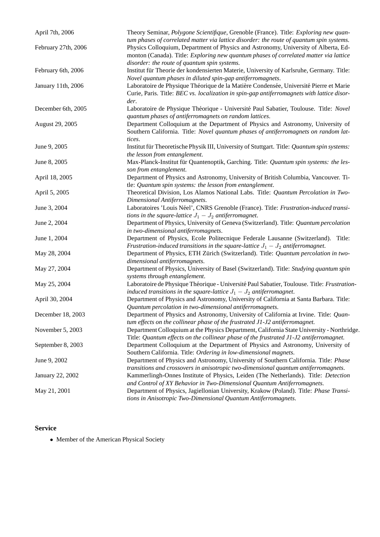| April 7th, 2006         | Theory Seminar, Polygone Scientifique, Grenoble (France). Title: Exploring new quan-                                                              |
|-------------------------|---------------------------------------------------------------------------------------------------------------------------------------------------|
|                         | tum phases of correlated matter via lattice disorder: the route of quantum spin systems.                                                          |
| February 27th, 2006     | Physics Colloquium, Department of Physics and Astronomy, University of Alberta, Ed-                                                               |
|                         | monton (Canada). Title: Exploring new quantum phases of correlated matter via lattice                                                             |
|                         | disorder: the route of quantum spin systems.                                                                                                      |
| February 6th, 2006      | Institut für Theorie der kondensierten Materie, University of Karlsruhe, Germany. Title:                                                          |
|                         | Novel quantum phases in diluted spin-gap antiferromagnets.                                                                                        |
| January 11th, 2006      | Laboratoire de Physique Théorique de la Matière Condensée, Université Pierre et Marie                                                             |
|                         | Curie, Paris. Title: BEC vs. localization in spin-gap antiferromagnets with lattice disor-                                                        |
|                         | der.                                                                                                                                              |
| December 6th, 2005      | Laboratoire de Physique Théorique - Université Paul Sabatier, Toulouse. Title: Novel                                                              |
|                         | quantum phases of antiferromagnets on random lattices.                                                                                            |
| August 29, 2005         | Department Colloquium at the Department of Physics and Astronomy, University of                                                                   |
|                         | Southern California. Title: Novel quantum phases of antiferromagnets on random lat-                                                               |
|                         | tices.                                                                                                                                            |
| June 9, 2005            | Institut für Theoretische Physik III, University of Stuttgart. Title: Quantum spin systems:                                                       |
|                         | the lesson from entanglement.                                                                                                                     |
| June 8, 2005            | Max-Planck-Institut für Quantenoptik, Garching. Title: Quantum spin systems: the les-                                                             |
|                         | son from entanglement.                                                                                                                            |
| April 18, 2005          | Department of Physics and Astronomy, University of British Columbia, Vancouver. Ti-                                                               |
|                         | tle: Quantum spin systems: the lesson from entanglement.                                                                                          |
| April 5, 2005           | Theoretical Division, Los Alamos National Labs. Title: Quantum Percolation in Two-                                                                |
|                         | Dimensional Antiferromagnets.                                                                                                                     |
| June 3, 2004            | Laboratoires 'Louis Néel', CNRS Grenoble (France). Title: Frustration-induced transi-                                                             |
| June 2, 2004            | tions in the square-lattice $J_1 - J_2$ antiferromagnet.<br>Department of Physics, University of Geneva (Switzerland). Title: Quantum percolation |
|                         | in two-dimensional antiferromagnets.                                                                                                              |
| June 1, 2004            | Department of Physics, Ecole Politecnique Federale Lausanne (Switzerland). Title:                                                                 |
|                         | Frustration-induced transitions in the square-lattice $J_1 - J_2$ antiferromagnet.                                                                |
| May 28, 2004            | Department of Physics, ETH Zürich (Switzerland). Title: Quantum percolation in two-                                                               |
|                         | dimensional antiferromagnets.                                                                                                                     |
| May 27, 2004            | Department of Physics, University of Basel (Switzerland). Title: Studying quantum spin                                                            |
|                         | systems through entanglement.                                                                                                                     |
| May 25, 2004            | Laboratoire de Physique Théorique - Université Paul Sabatier, Toulouse. Title: Frustration-                                                       |
|                         | induced transitions in the square-lattice $J_1 - J_2$ antiferromagnet.                                                                            |
| April 30, 2004          | Department of Physics and Astronomy, University of California at Santa Barbara. Title:                                                            |
|                         | Quantum percolation in two-dimensional antiferromagnets.                                                                                          |
| December 18, 2003       | Department of Physics and Astronomy, University of California at Irvine. Title: Quan-                                                             |
|                         | tum effects on the collinear phase of the frustrated J1-J2 antiferromagnet.                                                                       |
| November 5, 2003        | Department Colloquium at the Physics Department, California State University - Northridge.                                                        |
|                         | Title: Quantum effects on the collinear phase of the frustrated J1-J2 antiferromagnet.                                                            |
| September 8, 2003       | Department Colloquium at the Department of Physics and Astronomy, University of                                                                   |
|                         | Southern California. Title: Ordering in low-dimensional magnets.                                                                                  |
| June 9, 2002            | Department of Physics and Astronomy, University of Southern California. Title: Phase                                                              |
|                         | transitions and crossovers in anisotropic two-dimensional quantum antiferromagnets.                                                               |
| <b>January 22, 2002</b> | Kammerlingh-Onnes Institute of Physics, Leiden (The Netherlands). Title: Detection                                                                |
|                         | and Control of XY Behavior in Two-Dimensional Quantum Antiferromagnets.                                                                           |
| May 21, 2001            | Department of Physics, Jagiellonian University, Krakow (Poland). Title: Phase Transi-                                                             |
|                         | tions in Anisotropic Two-Dimensional Quantum Antiferromagnets.                                                                                    |

#### **Service**

• Member of the American Physical Society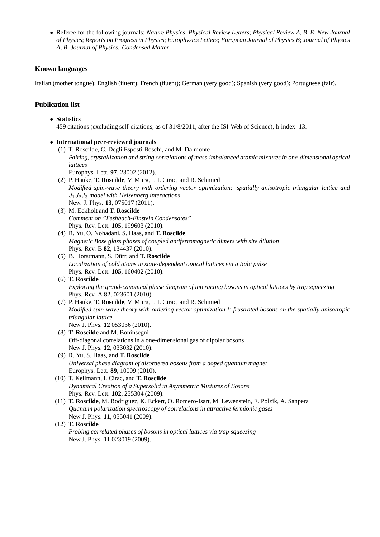• Referee for the following journals: *Nature Physics*; *Physical Review Letters*; *Physical Review A, B, E*; *New Journal of Physics*; *Reports on Progress in Physics*; *Europhysics Letters*; *European Journal of Physics B*; *Journal of Physics A, B*; *Journal of Physics: Condensed Matter*.

### **Known languages**

Italian (mother tongue); English (fluent); French (fluent); German (very good); Spanish (very good); Portuguese (fair).

## **Publication list**

- **Statistics** 459 citations (excluding self-citations, as of 31/8/2011, after the ISI-Web of Science), h-index: 13.
- **International peer-reviewed journals**
	- (1) T. Roscilde, C. Degli Esposti Boschi, and M. Dalmonte *Pairing, crystallization and string correlations of mass-imbalanced atomic mixtures in one-dimensional optical lattices* Europhys. Lett. **97**, 23002 (2012).
	- (2) P. Hauke, **T. Roscilde**, V. Murg, J. I. Cirac, and R. Schmied *Modified spin-wave theory with ordering vector optimization: spatially anisotropic triangular lattice and* J1J2J<sup>3</sup> *model with Heisenberg interactions* New. J. Phys. **13**, 075017 (2011).
	- (3) M. Eckholt and **T. Roscilde** *Comment on "Feshbach-Einstein Condensates"* Phys. Rev. Lett. **105**, 199603 (2010).
	- (4) R. Yu, O. Nohadani, S. Haas, and **T. Roscilde** *Magnetic Bose glass phases of coupled antiferromagnetic dimers with site dilution* Phys. Rev. B **82**, 134437 (2010).
	- (5) B. Horstmann, S. D¨urr, and **T. Roscilde** *Localization of cold atoms in state-dependent optical lattices via a Rabi pulse* Phys. Rev. Lett. **105**, 160402 (2010).
	- (6) **T. Roscilde** *Exploring the grand-canonical phase diagram of interacting bosons in optical lattices by trap squeezing* Phys. Rev. A **82**, 023601 (2010).
	- (7) P. Hauke, **T. Roscilde**, V. Murg, J. I. Cirac, and R. Schmied *Modified spin-wave theory with ordering vector optimization I: frustrated bosons on the spatially anisotropic triangular lattice* New J. Phys. **12** 053036 (2010).
	- (8) **T. Roscilde** and M. Boninsegni Off-diagonal correlations in a one-dimensional gas of dipolar bosons New J. Phys. **12**, 033032 (2010).
	- (9) R. Yu, S. Haas, and **T. Roscilde** *Universal phase diagram of disordered bosons from a doped quantum magnet* Europhys. Lett. **89**, 10009 (2010).
	- (10) T. Keilmann, I. Cirac, and **T. Roscilde** *Dynamical Creation of a Supersolid in Asymmetric Mixtures of Bosons* Phys. Rev. Lett. **102**, 255304 (2009).
	- (11) **T. Roscilde**, M. Rodriguez, K. Eckert, O. Romero-Isart, M. Lewenstein, E. Polzik, A. Sanpera *Quantum polarization spectroscopy of correlations in attractive fermionic gases* New J. Phys. **11**, 055041 (2009).
	- (12) **T. Roscilde** *Probing correlated phases of bosons in optical lattices via trap squeezing* New J. Phys. **11** 023019 (2009).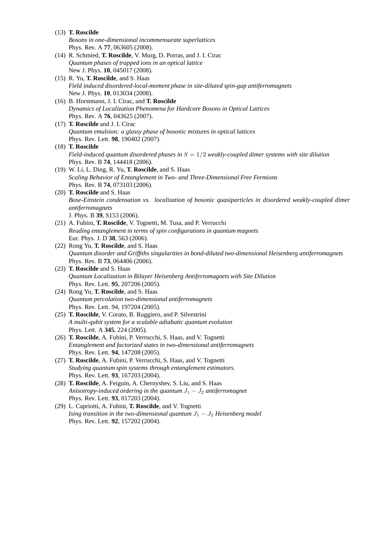| $(13)$ T. Roscilde                                                                                                              |
|---------------------------------------------------------------------------------------------------------------------------------|
| Bosons in one-dimensional incommensurate superlattices                                                                          |
| Phys. Rev. A 77, 063605 (2008).                                                                                                 |
| (14) R. Schmied, T. Roscilde, V. Murg, D. Porras, and J. I. Cirac                                                               |
| Quantum phases of trapped ions in an optical lattice                                                                            |
| New J. Phys. 10, 045017 (2008).                                                                                                 |
| (15) R. Yu, <b>T. Roscilde</b> , and S. Haas                                                                                    |
| Field induced disordered-local-moment phase in site-diluted spin-gap antiferromagnets                                           |
| New J. Phys. 10, 013034 (2008).                                                                                                 |
| (16) B. Horstmann, J. I. Cirac, and T. Roscilde                                                                                 |
| Dynamics of Localization Phenomena for Hardcore Bosons in Optical Lattices                                                      |
| Phys. Rev. A 76, 043625 (2007).                                                                                                 |
| (17) T. Roscilde and J. I. Cirac                                                                                                |
| Quantum emulsion: a glassy phase of bosonic mixtures in optical lattices                                                        |
| Phys. Rev. Lett. 98, 190402 (2007).                                                                                             |
| $(18)$ T. Roscilde                                                                                                              |
| Field-induced quantum disordered phases in $S = 1/2$ weakly-coupled dimer systems with site dilution                            |
| Phys. Rev. B 74, 144418 (2006).                                                                                                 |
| (19) W. Li, L. Ding, R. Yu, T. Roscilde, and S. Haas                                                                            |
| Scaling Behavior of Entanglement in Two- and Three-Dimensional Free Fermions                                                    |
| Phys. Rev. B 74, 073103 (2006).                                                                                                 |
| (20) T. Roscilde and S. Haas                                                                                                    |
| Bose-Einstein condensation vs. localization of bosonic quasiparticles in disordered weakly-coupled dimer                        |
| antiferromagnets                                                                                                                |
| J. Phys. B 39, S153 (2006).                                                                                                     |
| (21) A. Fubini, T. Roscilde, V. Tognetti, M. Tusa, and P. Verrucchi                                                             |
| Reading entanglement in terms of spin configurations in quantum magnets                                                         |
| Eur. Phys. J. D 38, 563 (2006).                                                                                                 |
| (22) Rong Yu, T. Roscilde, and S. Haas                                                                                          |
| Quantum disorder and Griffiths singularities in bond-diluted two-dimensional Heisenberg antiferromagnets                        |
| Phys. Rev. B 73, 064406 (2006).                                                                                                 |
| (23) T. Roscilde and S. Haas                                                                                                    |
| Quantum Localization in Bilayer Heisenberg Antiferromagnets with Site Dilution                                                  |
| Phys. Rev. Lett. 95, 207206 (2005).                                                                                             |
| (24) Rong Yu, T. Roscilde, and S. Haas                                                                                          |
| Quantum percolation two-dimensional antiferromagnets                                                                            |
| Phys. Rev. Lett. 94, 197204 (2005).                                                                                             |
| (25) T. Roscilde, V. Corato, B. Ruggiero, and P. Silvestrini<br>A multi-qubit system for a scalable adiabatic quantum evolution |
| Phys. Lett. A 345, 224 (2005).                                                                                                  |
| (26) T. Roscilde, A. Fubini, P. Verrucchi, S. Haas, and V. Tognetti                                                             |
| Entanglement and factorized states in two-dimensional antiferromagnets                                                          |
| Phys. Rev. Lett. 94, 147208 (2005).                                                                                             |
| (27) T. Roscilde, A. Fubini, P. Verrucchi, S. Haas, and V. Tognetti                                                             |
| Studying quantum spin systems through entanglement estimators.                                                                  |
| Phys. Rev. Lett. 93, 167203 (2004).                                                                                             |
| (28) T. Roscilde, A. Feiguin, A. Chernyshev, S. Liu, and S. Haas                                                                |
| Anisotropy-induced ordering in the quantum $J_1 - J_2$ antiferromagnet                                                          |
| Phys. Rev. Lett. 93, 017203 (2004).                                                                                             |
| (29) L. Capriotti, A. Fubini, T. Roscilde, and V. Tognetti                                                                      |
| Ising transition in the two-dimensional quantum $J_1 - J_2$ Heisenberg model                                                    |
| Phys. Rev. Lett. 92, 157202 (2004).                                                                                             |